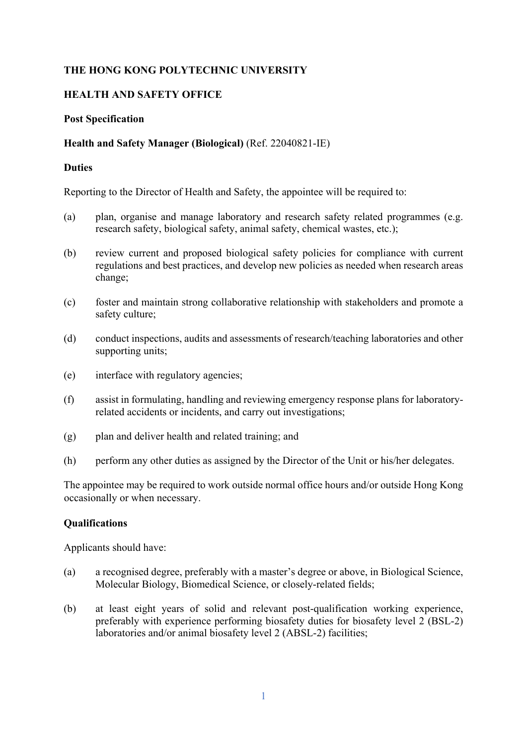# **THE HONG KONG POLYTECHNIC UNIVERSITY**

## **HEALTH AND SAFETY OFFICE**

#### **Post Specification**

#### **Health and Safety Manager (Biological)** (Ref. 22040821-IE)

#### **Duties**

Reporting to the Director of Health and Safety, the appointee will be required to:

- (a) plan, organise and manage laboratory and research safety related programmes (e.g. research safety, biological safety, animal safety, chemical wastes, etc.);
- (b) review current and proposed biological safety policies for compliance with current regulations and best practices, and develop new policies as needed when research areas change;
- (c) foster and maintain strong collaborative relationship with stakeholders and promote a safety culture;
- (d) conduct inspections, audits and assessments of research/teaching laboratories and other supporting units;
- (e) interface with regulatory agencies;
- (f) assist in formulating, handling and reviewing emergency response plans for laboratoryrelated accidents or incidents, and carry out investigations;
- (g) plan and deliver health and related training; and
- (h) perform any other duties as assigned by the Director of the Unit or his/her delegates.

The appointee may be required to work outside normal office hours and/or outside Hong Kong occasionally or when necessary.

#### **Qualifications**

Applicants should have:

- (a) a recognised degree, preferably with a master's degree or above, in Biological Science, Molecular Biology, Biomedical Science, or closely-related fields;
- (b) at least eight years of solid and relevant post-qualification working experience, preferably with experience performing biosafety duties for biosafety level 2 (BSL-2) laboratories and/or animal biosafety level 2 (ABSL-2) facilities;